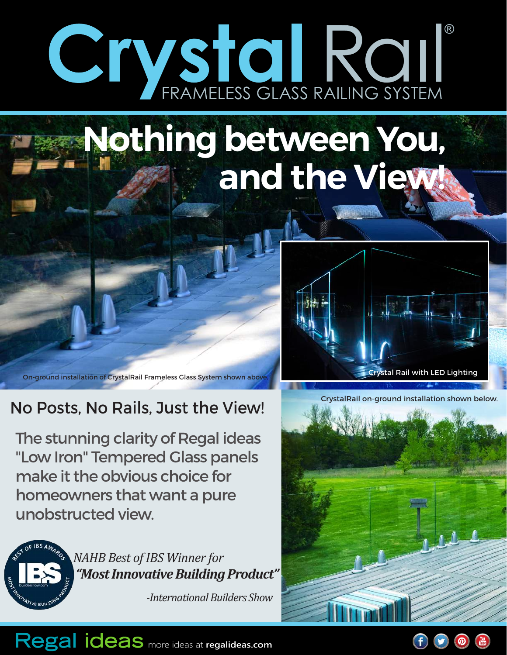# FRAMELESS GLASS RAILING SYSTEM ®

# **Nothing between You, and the View!**

On-ground installation of CrystalRail Frameless Glass System shown above. Crystal Rail with LED Lighting

### No Posts, No Rails, Just the View!

The stunning clarity of Regal ideas "Low Iron" Tempered Glass panels make it the obvious choice for homeowners that want a pure unobstructed view.



*NAHB Best of IBS Winner for "Most Innovative Building Product"*

 *-International Builders Show*





Regal ideas more ideas at regalideas.com